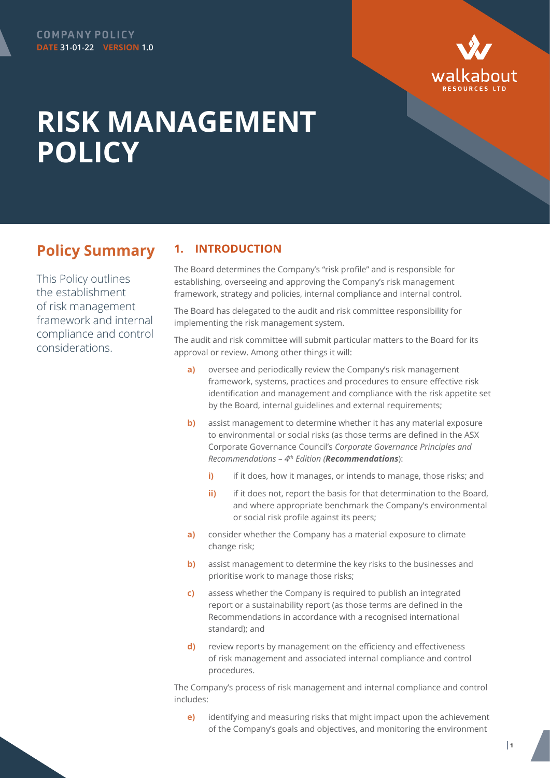

## **RISK MANAGEMENT POLICY**

## **Policy Summary**

This Policy outlines the establishment of risk management framework and internal compliance and control considerations.

## **1. INTRODUCTION**

The Board determines the Company's "risk profile" and is responsible for establishing, overseeing and approving the Company's risk management framework, strategy and policies, internal compliance and internal control.

The Board has delegated to the audit and risk committee responsibility for implementing the risk management system.

The audit and risk committee will submit particular matters to the Board for its approval or review. Among other things it will:

- **a)** oversee and periodically review the Company's risk management framework, systems, practices and procedures to ensure effective risk identification and management and compliance with the risk appetite set by the Board, internal guidelines and external requirements;
- **b)** assist management to determine whether it has any material exposure to environmental or social risks (as those terms are defined in the ASX Corporate Governance Council's *Corporate Governance Principles and Recommendations – 4th Edition (Recommendations*):
	- **i)** if it does, how it manages, or intends to manage, those risks; and
	- **ii)** if it does not, report the basis for that determination to the Board, and where appropriate benchmark the Company's environmental or social risk profile against its peers;
- **a)** consider whether the Company has a material exposure to climate change risk;
- **b)** assist management to determine the key risks to the businesses and prioritise work to manage those risks;
- **c)** assess whether the Company is required to publish an integrated report or a sustainability report (as those terms are defined in the Recommendations in accordance with a recognised international standard); and
- **d)** review reports by management on the efficiency and effectiveness of risk management and associated internal compliance and control procedures.

The Company's process of risk management and internal compliance and control includes:

**e)** identifying and measuring risks that might impact upon the achievement of the Company's goals and objectives, and monitoring the environment